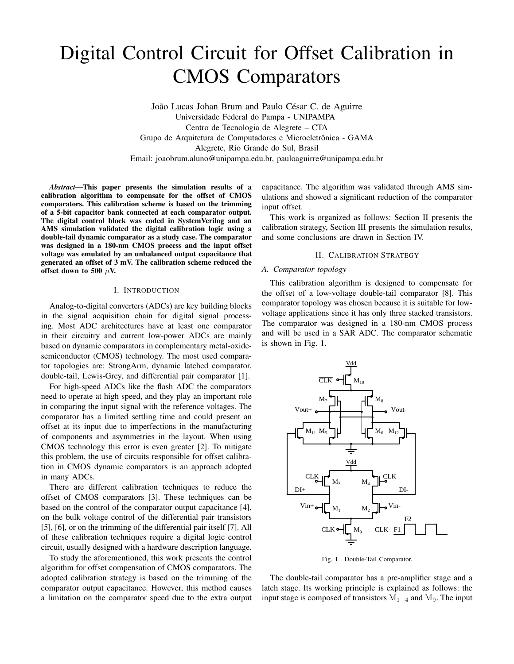# Digital Control Circuit for Offset Calibration in CMOS Comparators

João Lucas Johan Brum and Paulo César C. de Aguirre Universidade Federal do Pampa - UNIPAMPA Centro de Tecnologia de Alegrete – CTA Grupo de Arquitetura de Computadores e Microeletrônica - GAMA Alegrete, Rio Grande do Sul, Brasil Email: joaobrum.aluno@unipampa.edu.br, pauloaguirre@unipampa.edu.br

*Abstract*—This paper presents the simulation results of a calibration algorithm to compensate for the offset of CMOS comparators. This calibration scheme is based on the trimming of a 5-bit capacitor bank connected at each comparator output. The digital control block was coded in SystemVerilog and an AMS simulation validated the digital calibration logic using a double-tail dynamic comparator as a study case. The comparator was designed in a 180-nm CMOS process and the input offset voltage was emulated by an unbalanced output capacitance that generated an offset of 3 mV. The calibration scheme reduced the offset down to 500  $\mu$ V.

## I. INTRODUCTION

Analog-to-digital converters (ADCs) are key building blocks in the signal acquisition chain for digital signal processing. Most ADC architectures have at least one comparator in their circuitry and current low-power ADCs are mainly based on dynamic comparators in complementary metal-oxidesemiconductor (CMOS) technology. The most used comparator topologies are: StrongArm, dynamic latched comparator, double-tail, Lewis-Grey, and differential pair comparator [1].

For high-speed ADCs like the flash ADC the comparators need to operate at high speed, and they play an important role in comparing the input signal with the reference voltages. The comparator has a limited settling time and could present an offset at its input due to imperfections in the manufacturing of components and asymmetries in the layout. When using CMOS technology this error is even greater [2]. To mitigate this problem, the use of circuits responsible for offset calibration in CMOS dynamic comparators is an approach adopted in many ADCs.

There are different calibration techniques to reduce the offset of CMOS comparators [3]. These techniques can be based on the control of the comparator output capacitance [4], on the bulk voltage control of the differential pair transistors [5], [6], or on the trimming of the differential pair itself [7]. All of these calibration techniques require a digital logic control circuit, usually designed with a hardware description language.

To study the aforementioned, this work presents the control algorithm for offset compensation of CMOS comparators. The adopted calibration strategy is based on the trimming of the comparator output capacitance. However, this method causes a limitation on the comparator speed due to the extra output capacitance. The algorithm was validated through AMS simulations and showed a significant reduction of the comparator input offset.

This work is organized as follows: Section II presents the calibration strategy, Section III presents the simulation results, and some conclusions are drawn in Section IV.

## II. CALIBRATION STRATEGY

## *A. Comparator topology*

This calibration algorithm is designed to compensate for the offset of a low-voltage double-tail comparator [8]. This comparator topology was chosen because it is suitable for lowvoltage applications since it has only three stacked transistors. The comparator was designed in a 180-nm CMOS process and will be used in a SAR ADC. The comparator schematic is shown in Fig. 1.



Fig. 1. Double-Tail Comparator.

The double-tail comparator has a pre-amplifier stage and a latch stage. Its working principle is explained as follows: the input stage is composed of transistors  $M_{1-4}$  and  $M_9$ . The input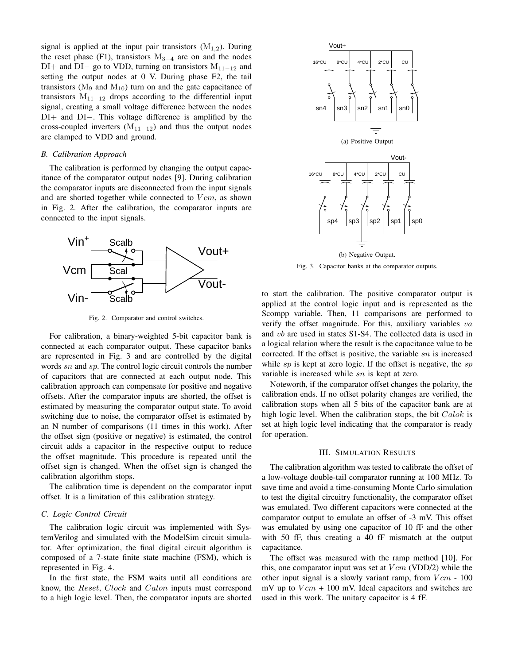signal is applied at the input pair transistors  $(M_{1,2})$ . During the reset phase (F1), transistors  $M_{3-4}$  are on and the nodes DI+ and DI– go to VDD, turning on transistors  $M_{11-12}$  and setting the output nodes at 0 V. During phase F2, the tail transistors ( $M<sub>9</sub>$  and  $M<sub>10</sub>$ ) turn on and the gate capacitance of transistors  $M_{11-12}$  drops according to the differential input signal, creating a small voltage difference between the nodes DI+ and DI−. This voltage difference is amplified by the cross-coupled inverters  $(M_{11-12})$  and thus the output nodes are clamped to VDD and ground.

## *B. Calibration Approach*

The calibration is performed by changing the output capacitance of the comparator output nodes [9]. During calibration the comparator inputs are disconnected from the input signals and are shorted together while connected to  $Vcm$ , as shown in Fig. 2. After the calibration, the comparator inputs are connected to the input signals.



Fig. 2. Comparator and control switches.

For calibration, a binary-weighted 5-bit capacitor bank is connected at each comparator output. These capacitor banks are represented in Fig. 3 and are controlled by the digital words sn and sp. The control logic circuit controls the number of capacitors that are connected at each output node. This calibration approach can compensate for positive and negative offsets. After the comparator inputs are shorted, the offset is estimated by measuring the comparator output state. To avoid switching due to noise, the comparator offset is estimated by an N number of comparisons (11 times in this work). After the offset sign (positive or negative) is estimated, the control circuit adds a capacitor in the respective output to reduce the offset magnitude. This procedure is repeated until the offset sign is changed. When the offset sign is changed the calibration algorithm stops.

The calibration time is dependent on the comparator input offset. It is a limitation of this calibration strategy.

#### *C. Logic Control Circuit*

The calibration logic circuit was implemented with SystemVerilog and simulated with the ModelSim circuit simulator. After optimization, the final digital circuit algorithm is composed of a 7-state finite state machine (FSM), which is represented in Fig. 4.

In the first state, the FSM waits until all conditions are know, the Reset, Clock and Calon inputs must correspond to a high logic level. Then, the comparator inputs are shorted



Fig. 3. Capacitor banks at the comparator outputs.

to start the calibration. The positive comparator output is applied at the control logic input and is represented as the Scompp variable. Then, 11 comparisons are performed to verify the offset magnitude. For this, auxiliary variables  $va$ and vb are used in states S1-S4. The collected data is used in a logical relation where the result is the capacitance value to be corrected. If the offset is positive, the variable sn is increased while  $sp$  is kept at zero logic. If the offset is negative, the  $sp$ variable is increased while sn is kept at zero.

Noteworth, if the comparator offset changes the polarity, the calibration ends. If no offset polarity changes are verified, the calibration stops when all 5 bits of the capacitor bank are at high logic level. When the calibration stops, the bit Calok is set at high logic level indicating that the comparator is ready for operation.

## III. SIMULATION RESULTS

The calibration algorithm was tested to calibrate the offset of a low-voltage double-tail comparator running at 100 MHz. To save time and avoid a time-consuming Monte Carlo simulation to test the digital circuitry functionality, the comparator offset was emulated. Two different capacitors were connected at the comparator output to emulate an offset of -3 mV. This offset was emulated by using one capacitor of 10 fF and the other with 50 fF, thus creating a 40 fF mismatch at the output capacitance.

The offset was measured with the ramp method [10]. For this, one comparator input was set at  $V \text{cm}$  (VDD/2) while the other input signal is a slowly variant ramp, from  $Vcm - 100$ mV up to  $V cm + 100$  mV. Ideal capacitors and switches are used in this work. The unitary capacitor is 4 fF.